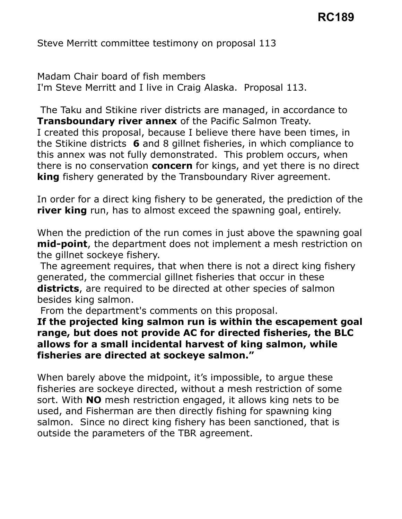Steve Merritt committee testimony on proposal 113

 Madam Chair board of fish members I'm Steve Merritt and I live in Craig Alaska. Proposal 113.

 The Taku and Stikine river districts are managed, in accordance to **Transboundary river annex** of the Pacific Salmon Treaty. I created this proposal, because I believe there have been times, in the Stikine districts  $\,6\,$  and 8 gillnet fisheries, in which compliance to this annex was not fully demonstrated. This problem occurs, when there is no conservation **concern** for kings, and yet there is no direct **king** fishery generated by the Transboundary River agreement.

 In order for a direct king fishery to be generated, the prediction of the river king run, has to almost exceed the spawning goal, entirely.

 When the prediction of the run comes in just above the spawning goal mid-point, the department does not implement a mesh restriction on the gillnet sockeye fishery.

 The agreement requires, that when there is not a direct king fishery generated, the commercial gillnet fisheries that occur in these **districts**, are required to be directed at other species of salmon besides king salmon.

From the department's comments on this proposal.

## If the projected king salmon run is within the escapement goal range, but does not provide AC for directed fisheries, the BLC allows for a small incidental harvest of king salmon, while fisheries are directed at sockeye salmon."

 When barely above the midpoint, it's impossible, to argue these fisheries are sockeye directed, without a mesh restriction of some sort. With NO mesh restriction engaged, it allows king nets to be used, and Fisherman are then directly fishing for spawning king salmon. Since no direct king fishery has been sanctioned, that is outside the parameters of the TBR agreement.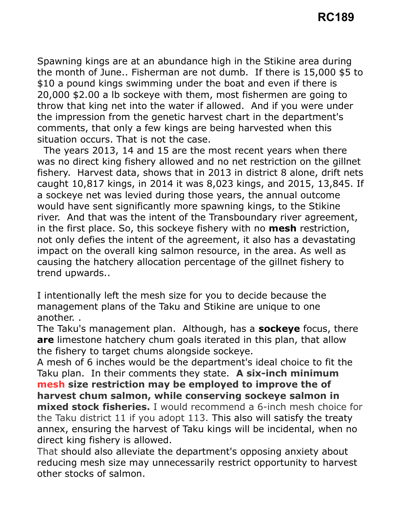Spawning kings are at an abundance high in the Stikine area during the month of June.. Fisherman are not dumb. If there is 15,000 \$5 to \$10 a pound kings swimming under the boat and even if there is 20,000 \$2.00 a lb sockeye with them, most fishermen are going to throw that king net into the water if allowed. And if you were under the impression from the genetic harvest chart in the department's comments, that only a few kings are being harvested when this situation occurs. That is not the case.

 was no direct king fishery allowed and no net restriction on the gillnet fishery. Harvest data, shows that in 2013 in district 8 alone, drift nets caught 10,817 kings, in 2014 it was 8,023 kings, and 2015, 13,845. If a sockeye net was levied during those years, the annual outcome would have sent significantly more spawning kings, to the Stikine river. And that was the intent of the Transboundary river agreement, in the first place. So, this sockeye fishery with no **mesh** restriction, not only defies the intent of the agreement, it also has a devastating impact on the overall king salmon resource, in the area. As well as causing the hatchery allocation percentage of the gillnet fishery to The years 2013, 14 and 15 are the most recent years when there trend upwards..

 I intentionally left the mesh size for you to decide because the management plans of the Taku and Stikine are unique to one another. .

The Taku's management plan. Although, has a sockeye focus, there are limestone hatchery chum goals iterated in this plan, that allow the fishery to target chums alongside sockeye.

 A mesh of 6 inches would be the department's ideal choice to fit the Taku plan. In their comments they state. A six-inch minimum mesh size restriction may be employed to improve the of mixed stock fisheries. I would recommend a 6-inch mesh choice for the Taku district 11 if you adopt 113. This also will satisfy the treaty annex, ensuring the harvest of Taku kings will be incidental, when no direct king fishery is allowed. harvest chum salmon, while conserving sockeye salmon in

 That should also alleviate the department's opposing anxiety about reducing mesh size may unnecessarily restrict opportunity to harvest other stocks of salmon.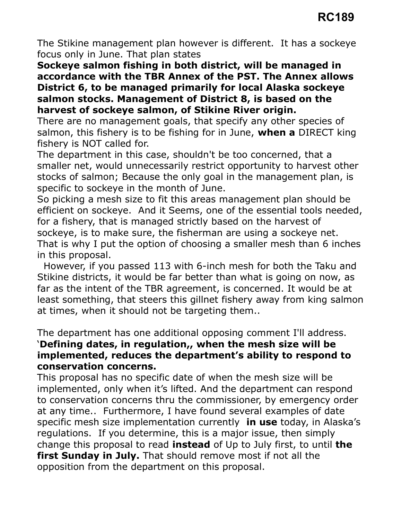The Stikine management plan however is different. It has a sockeye focus only in June. That plan states

 Sockeye salmon fishing in both district, will be managed in accordance with the TBR Annex of the PST. The Annex allows District 6, to be managed primarily for local Alaska sockeye salmon stocks. Management of District 8, is based on the harvest of sockeye salmon, of Stikine River origin.

 There are no management goals, that specify any other species of salmon, this fishery is to be fishing for in June, when a DIRECT king fishery is NOT called for.

 The department in this case, shouldn't be too concerned, that a smaller net, would unnecessarily restrict opportunity to harvest other stocks of salmon; Because the only goal in the management plan, is specific to sockeye in the month of June.

 So picking a mesh size to fit this areas management plan should be efficient on sockeye. And it Seems, one of the essential tools needed, for a fishery, that is managed strictly based on the harvest of sockeye, is to make sure, the fisherman are using a sockeye net. That is why I put the option of choosing a smaller mesh than 6 inches in this proposal.

 Stikine districts, it would be far better than what is going on now, as far as the intent of the TBR agreement, is concerned. It would be at least something, that steers this gillnet fishery away from king salmon at times, when it should not be targeting them.. However, if you passed 113 with 6-inch mesh for both the Taku and

The department has one additional opposing comment I'll address.

## 'Defining dates, in regulation,, when the mesh size will be implemented, reduces the department's ability to respond to conservation concerns.

 This proposal has no specific date of when the mesh size will be implemented, only when it's lifted. And the department can respond to conservation concerns thru the commissioner, by emergency order at any time.. Furthermore, I have found several examples of date specific mesh size implementation currently in use today, in Alaska's regulations. If you determine, this is a major issue, then simply change this proposal to read **instead** of Up to July first, to until **the** first Sunday in July. That should remove most if not all the opposition from the department on this proposal.